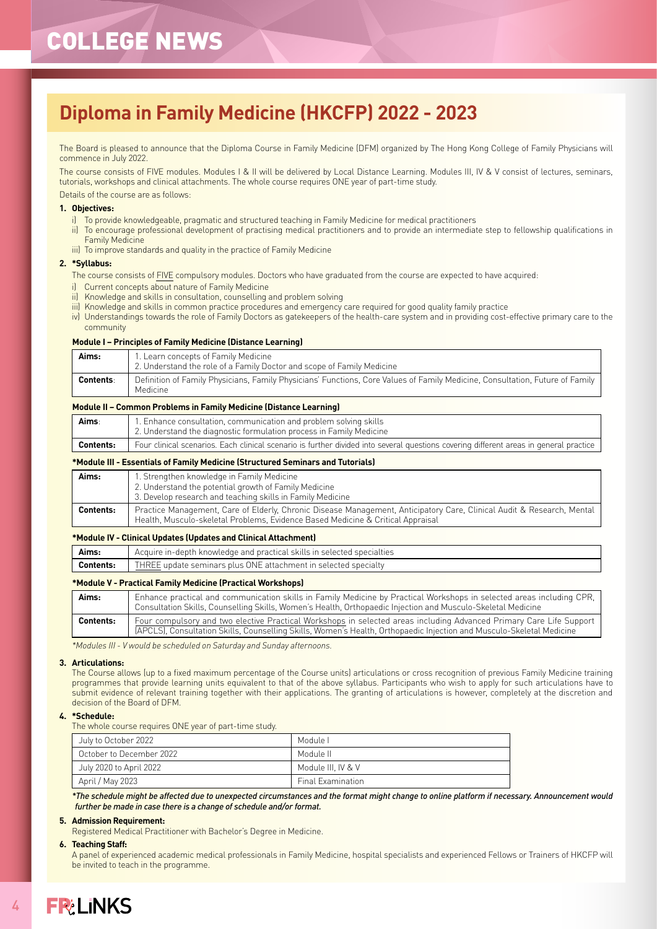# COLLEGE NEWS

# **Diploma in Family Medicine (HKCFP) 2022 - 2023**

The Board is pleased to announce that the Diploma Course in Family Medicine (DFM) organized by The Hong Kong College of Family Physicians will commence in July 2022.

The course consists of FIVE modules. Modules I & II will be delivered by Local Distance Learning. Modules III, IV & V consist of lectures, seminars, tutorials, workshops and clinical attachments. The whole course requires ONE year of part-time study.

Details of the course are as follows:

### **1. Objectives:**

- i) To provide knowledgeable, pragmatic and structured teaching in Family Medicine for medical practitioners
- ii) To encourage professional development of practising medical practitioners and to provide an intermediate step to fellowship qualifications in Family Medicine
- iii) To improve standards and quality in the practice of Family Medicine

### **2. \*Syllabus:**

- The course consists of FIVE compulsory modules. Doctors who have graduated from the course are expected to have acquired:
- i) Current concepts about nature of Family Medicine
- ii) Knowledge and skills in consultation, counselling and problem solving
- iii) Knowledge and skills in common practice procedures and emergency care required for good quality family practice
- iv) Understandings towards the role of Family Doctors as gatekeepers of the health-care system and in providing cost-effective primary care to the community

### **Module I – Principles of Family Medicine (Distance Learning)**

| Aims:            | 1. Learn concepts of Family Medicine<br>2. Understand the role of a Family Doctor and scope of Family Medicine                            |
|------------------|-------------------------------------------------------------------------------------------------------------------------------------------|
| <b>Contents:</b> | Definition of Family Physicians, Family Physicians' Functions, Core Values of Family Medicine, Consultation, Future of Family<br>Medicine |

### **Module II – Common Problems in Family Medicine (Distance Learning)**

| Aims      | 1. Enhance consultation, communication and problem solving skills<br>2. Understand the diagnostic formulation process in Family Medicine |
|-----------|------------------------------------------------------------------------------------------------------------------------------------------|
| Contents: | Four clinical scenarios. Each clinical scenario is further divided into several questions covering different areas in general practice   |

### **\*Module III - Essentials of Family Medicine (Structured Seminars and Tutorials)**

| Aims:            | 1. Strengthen knowledge in Family Medicine<br>2. Understand the potential growth of Family Medicine<br>3. Develop research and teaching skills in Family Medicine                                         |
|------------------|-----------------------------------------------------------------------------------------------------------------------------------------------------------------------------------------------------------|
| <b>Contents:</b> | Practice Management, Care of Elderly, Chronic Disease Management, Anticipatory Care, Clinical Audit & Research, Mental<br>Health, Musculo-skeletal Problems, Evidence Based Medicine & Critical Appraisal |

### **\*Module IV - Clinical Updates (Updates and Clinical Attachment)**

| Aims:            | Acquire in-depth knowledge and practical skills in selected specialties |
|------------------|-------------------------------------------------------------------------|
| <b>Contents:</b> | THREE update seminars plus ONE attachment in selected specialty         |
|                  |                                                                         |

### **\*Module V - Practical Family Medicine (Practical Workshops)**

| Aims:     | Enhance practical and communication skills in Family Medicine by Practical Workshops in selected areas including CPR,<br>Consultation Skills, Counselling Skills, Women's Health, Orthopaedic Injection and Musculo-Skeletal Medicine        |
|-----------|----------------------------------------------------------------------------------------------------------------------------------------------------------------------------------------------------------------------------------------------|
| Contents: | Four compulsory and two elective Practical Workshops in selected areas including Advanced Primary Care Life Support<br>(APCLS), Consultation Skills, Counselling Skills, Women's Health, Orthopaedic Injection and Musculo-Skeletal Medicine |

*\*Modules III - V would be scheduled on Saturday and Sunday afternoons.*

#### **3. Articulations:**

The Course allows (up to a fixed maximum percentage of the Course units) articulations or cross recognition of previous Family Medicine training programmes that provide learning units equivalent to that of the above syllabus. Participants who wish to apply for such articulations have to submit evidence of relevant training together with their applications. The granting of articulations is however, completely at the discretion and decision of the Board of DFM.

### **4. \*Schedule:**

The whole course requires ONE year of part-time study.

| July to October 2022     | Module I                 |
|--------------------------|--------------------------|
| October to December 2022 | Module II                |
| July 2020 to April 2022  | Module III. IV & V       |
| April / May 2023         | <b>Final Examination</b> |

*\*The schedule might be affected due to unexpected circumstances and the format might change to online platform if necessary. Announcement would further be made in case there is a change of schedule and/or format.*

### **5. Admission Requirement:**

Registered Medical Practitioner with Bachelor's Degree in Medicine.

#### **6. Teaching Staff:**

A panel of experienced academic medical professionals in Family Medicine, hospital specialists and experienced Fellows or Trainers of HKCFP will be invited to teach in the programme.

4